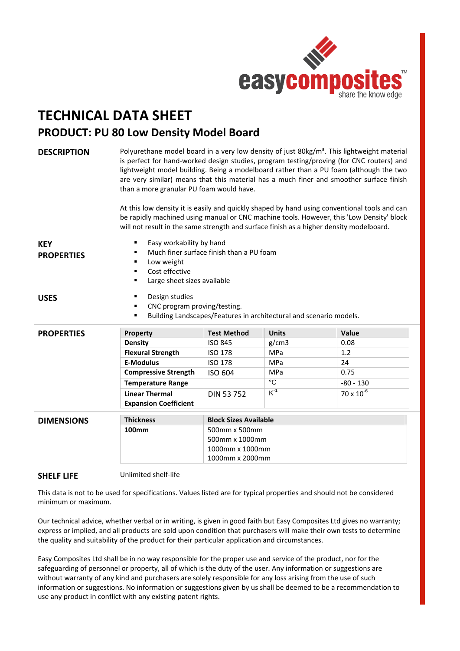

## **TECHNICAL DATA SHEET PRODUCT: PU 80 Low Density Model Board**

| <b>DESCRIPTION</b>              | Polyurethane model board in a very low density of just 80kg/m <sup>3</sup> . This lightweight material<br>is perfect for hand-worked design studies, program testing/proving (for CNC routers) and<br>lightweight model building. Being a modelboard rather than a PU foam (although the two<br>are very similar) means that this material has a much finer and smoother surface finish<br>than a more granular PU foam would have.<br>At this low density it is easily and quickly shaped by hand using conventional tools and can<br>be rapidly machined using manual or CNC machine tools. However, this 'Low Density' block<br>will not result in the same strength and surface finish as a higher density modelboard. |                              |                |                     |
|---------------------------------|----------------------------------------------------------------------------------------------------------------------------------------------------------------------------------------------------------------------------------------------------------------------------------------------------------------------------------------------------------------------------------------------------------------------------------------------------------------------------------------------------------------------------------------------------------------------------------------------------------------------------------------------------------------------------------------------------------------------------|------------------------------|----------------|---------------------|
| <b>KEY</b><br><b>PROPERTIES</b> | Easy workability by hand<br>٠<br>Much finer surface finish than a PU foam<br>Low weight<br>٠<br>Cost effective<br>$\blacksquare$<br>Large sheet sizes available<br>٠                                                                                                                                                                                                                                                                                                                                                                                                                                                                                                                                                       |                              |                |                     |
| <b>USES</b>                     | Design studies<br>٠<br>CNC program proving/testing.<br>Building Landscapes/Features in architectural and scenario models.<br>٠                                                                                                                                                                                                                                                                                                                                                                                                                                                                                                                                                                                             |                              |                |                     |
| <b>PROPERTIES</b>               | Property                                                                                                                                                                                                                                                                                                                                                                                                                                                                                                                                                                                                                                                                                                                   | <b>Test Method</b>           | <b>Units</b>   | Value               |
|                                 | <b>Density</b>                                                                                                                                                                                                                                                                                                                                                                                                                                                                                                                                                                                                                                                                                                             | <b>ISO 845</b>               | g/cm3          | 0.08                |
|                                 | <b>Flexural Strength</b>                                                                                                                                                                                                                                                                                                                                                                                                                                                                                                                                                                                                                                                                                                   | <b>ISO 178</b>               | <b>MPa</b>     | 1.2                 |
|                                 | <b>E-Modulus</b>                                                                                                                                                                                                                                                                                                                                                                                                                                                                                                                                                                                                                                                                                                           | <b>ISO 178</b>               | <b>MPa</b>     | 24                  |
|                                 | <b>Compressive Strength</b>                                                                                                                                                                                                                                                                                                                                                                                                                                                                                                                                                                                                                                                                                                | ISO 604                      | <b>MPa</b>     | 0.75                |
|                                 | <b>Temperature Range</b>                                                                                                                                                                                                                                                                                                                                                                                                                                                                                                                                                                                                                                                                                                   |                              | $\overline{C}$ | $-80 - 130$         |
|                                 | <b>Linear Thermal</b>                                                                                                                                                                                                                                                                                                                                                                                                                                                                                                                                                                                                                                                                                                      | <b>DIN 53752</b>             | $K^{-1}$       | $70 \times 10^{-6}$ |
|                                 | <b>Expansion Coefficient</b>                                                                                                                                                                                                                                                                                                                                                                                                                                                                                                                                                                                                                                                                                               |                              |                |                     |
|                                 | <b>Thickness</b>                                                                                                                                                                                                                                                                                                                                                                                                                                                                                                                                                                                                                                                                                                           | <b>Block Sizes Available</b> |                |                     |
| <b>DIMENSIONS</b>               | 100mm                                                                                                                                                                                                                                                                                                                                                                                                                                                                                                                                                                                                                                                                                                                      | 500mm x 500mm                |                |                     |
|                                 |                                                                                                                                                                                                                                                                                                                                                                                                                                                                                                                                                                                                                                                                                                                            | 500mm x 1000mm               |                |                     |
|                                 |                                                                                                                                                                                                                                                                                                                                                                                                                                                                                                                                                                                                                                                                                                                            | 1000mm x 1000mm              |                |                     |
|                                 |                                                                                                                                                                                                                                                                                                                                                                                                                                                                                                                                                                                                                                                                                                                            | 1000mm x 2000mm              |                |                     |
|                                 |                                                                                                                                                                                                                                                                                                                                                                                                                                                                                                                                                                                                                                                                                                                            |                              |                |                     |

## **SHELF LIFE** Unlimited shelf‐life

This data is not to be used for specifications. Values listed are for typical properties and should not be considered minimum or maximum.

Our technical advice, whether verbal or in writing, is given in good faith but Easy Composites Ltd gives no warranty; express or implied, and all products are sold upon condition that purchasers will make their own tests to determine the quality and suitability of the product for their particular application and circumstances.

Easy Composites Ltd shall be in no way responsible for the proper use and service of the product, nor for the safeguarding of personnel or property, all of which is the duty of the user. Any information or suggestions are without warranty of any kind and purchasers are solely responsible for any loss arising from the use of such information or suggestions. No information or suggestions given by us shall be deemed to be a recommendation to use any product in conflict with any existing patent rights.